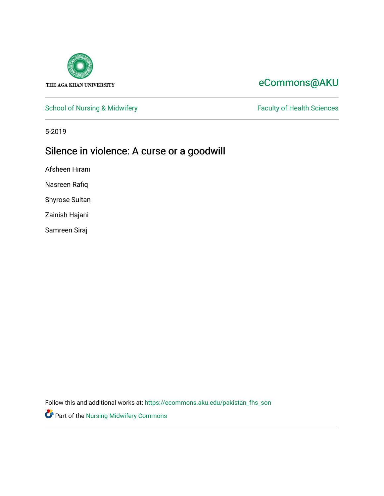

# [eCommons@AKU](https://ecommons.aku.edu/)

# [School of Nursing & Midwifery](https://ecommons.aku.edu/pakistan_fhs_son) Faculty of Health Sciences

5-2019

# Silence in violence: A curse or a goodwill

Afsheen Hirani

Nasreen Rafiq

Shyrose Sultan

Zainish Hajani

Samreen Siraj

Follow this and additional works at: [https://ecommons.aku.edu/pakistan\\_fhs\\_son](https://ecommons.aku.edu/pakistan_fhs_son?utm_source=ecommons.aku.edu%2Fpakistan_fhs_son%2F391&utm_medium=PDF&utm_campaign=PDFCoverPages) 

Part of the [Nursing Midwifery Commons](http://network.bepress.com/hgg/discipline/722?utm_source=ecommons.aku.edu%2Fpakistan_fhs_son%2F391&utm_medium=PDF&utm_campaign=PDFCoverPages)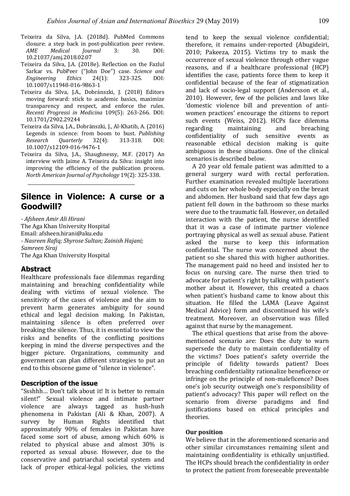- Teixeira da Silva, J.A. (2018d). PubMed Commons closure: a step back in post-publication peer review. *AME Medical Journal* 3: 30. DOI: 10.21037/amj.2018.02.07
- Teixeira da Silva, I.A. (2018e). Reflection on the Fazlul Sarkar vs. PubPeer ("John Doe") case. *Science and Engineering Ethics* 24(1): 323-325. DOI: 10.1007/s11948-016-9863-1
- Teixeira da Silva, J.A., Dobránszki, J. (2018) Editors moving forward: stick to academic basics, maximize transparency and respect, and enforce the rules. *Recenti Progressi in Medicina* 109(5): 263-266. DOI: 10.1701/2902.29244
- Teixeira da Silva, J.A., Dobránszki, J., Al-Khatib, A. (2016) Legends in science: from boom to bust. *Publishing Research Quarterly* 32(4): 313-318. DOI: 10.1007/s12109-016-9476-1
- Teixeira da Silva, J.A., Shaughnessy, M.F. (2017) An interview with Jaime A. Teixeira da Silva: insight into improving the efficiency of the publication process. *North American Journal of Psychology* 19(2): 325-338.

# **Silence in Violence: A curse or a Goodwill?**

*- Afsheen Amir Ali Hirani* The Aga Khan University Hospital Email: afsheen.hirani@aku.edu *- Nasreen Rafiq; Shyrose Sultan; Zainish Hajani; Samreen Siraj* The Aga Khan University Hospital

## **Abstract**

Healthcare professionals face dilemmas regarding maintaining and breaching confidentiality while dealing with victims of sexual violence. The sensitivity of the cases of violence and the aim to prevent harm generates ambiguity for sound ethical and legal decision making. In Pakistan, maintaining silence is often preferred over breaking the silence. Thus, it is essential to view the risks and benefits of the conflicting positions keeping in mind the diverse perspectives and the bigger picture. Organizations, community and government can plan different strategies to put an end to this obscene game of "silence in violence".

#### **Description of the issue**

"Ssshhh... Don't talk about it! It is better to remain silent!" Sexual violence and intimate partner violence are always tagged as hush-hush phenomena in Pakistan (Ali & Khan, 2007). A survey by Human Rights identified that approximately 90% of females in Pakistan have faced some sort of abuse, among which 60% is related to physical abuse and almost 30% is reported as sexual abuse. However, due to the conservative and patriarchal societal system and lack of proper ethical-legal policies, the victims tend to keep the sexual violence confidential; therefore, it remains under-reported (Abugideiri, 2010; Pakeeza, 2015). Victims try to mask the occurrence of sexual violence through other vague reasons, and if a healthcare professional (HCP) identifies the case, patients force them to keep it confidential because of the fear of stigmatization and lack of socio-legal support (Andersson et al., 2010). However, few of the policies and laws like 'domestic violence bill and prevention of antiwomen practices' encourage the citizens to report such events (Weiss, 2012). HCPs face dilemma regarding maintaining and breaching confidentiality of such sensitive events as reasonable ethical decision making is quite ambiguous in these situations. One of the clinical scenarios is described below.

A 20 year old female patient was admitted to a general surgery ward with rectal perforation. Further examination revealed multiple lacerations and cuts on her whole body especially on the breast and abdomen. Her husband said that few days ago patient fell down in the bathroom so these marks were due to the traumatic fall. However, on detailed interaction with the patient, the nurse identified that it was a case of intimate partner violence portraying physical as well as sexual abuse. Patient asked the nurse to keep this information confidential. The nurse was concerned about the patient so she shared this with higher authorities. The management paid no heed and insisted her to focus on nursing care. The nurse then tried to advocate for patient's right by talking with patient's mother about it. However, this created a chaos when patient's husband came to know about this situation. He filled the LAMA (Leave Against Medical Advice) form and discontinued his wife's treatment. Moreover, an observation was filled against that nurse by the management.

The ethical questions that arise from the abovementioned scenario are: Does the duty to warn supersede the duty to maintain confidentiality of the victims? Does patient's safety override the principle of fidelity towards patient? Does breaching confidentiality rationalize beneficence or infringe on the principle of non-maleficence? Does one's job security outweigh one's responsibility of patient's advocacy? This paper will reflect on the scenario from diverse paradigms and find justifications based on ethical principles and theories. 

#### **Our position**

We believe that in the aforementioned scenario and other similar circumstances remaining silent and maintaining confidentiality is ethically unjustified. The HCPs should breach the confidentiality in order to protect the patient from foreseeable preventable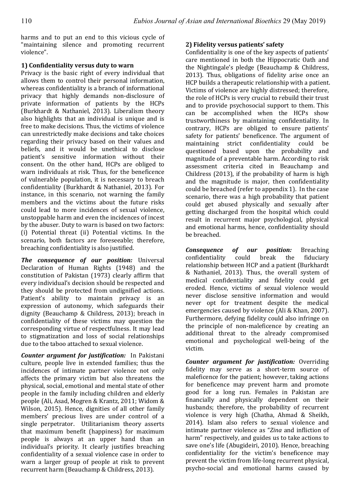harms and to put an end to this vicious cycle of "maintaining silence and promoting recurrent violence".

# **1) Confidentiality versus duty to warn**

Privacy is the basic right of every individual that allows them to control their personal information, whereas confidentiality is a branch of informational privacy that highly demands non-disclosure of private information of patients by the HCPs (Burkhardt & Nathaniel, 2013). Liberalism theory also highlights that an individual is unique and is free to make decisions. Thus, the victims of violence can unrestrictedly make decisions and take choices regarding their privacy based on their values and beliefs, and it would be unethical to disclose patient's sensitive information without their consent. On the other hand, HCPs are obliged to warn individuals at risk. Thus, for the beneficence of vulnerable population, it is necessary to breach confidentiality (Burkhardt & Nathaniel, 2013). For instance, in this scenario, not warning the family members and the victims about the future risks could lead to more incidences of sexual violence, unstoppable harm and even the incidences of incest by the abuser. Duty to warn is based on two factors: (i) Potential threat (ii) Potential victims. In the scenario, both factors are foreseeable; therefore, breaching confidentiality is also justified.

*The consequence of our position:* Universal Declaration of Human Rights (1948) and the constitution of Pakistan (1973) clearly affirm that every individual's decision should be respected and they should be protected from undignified actions. Patient's ability to maintain privacy is an expression of autonomy, which safeguards their dignity (Beauchamp & Childress, 2013); breach in confidentiality of these victims may question the corresponding virtue of respectfulness. It may lead to stigmatization and loss of social relationships due to the taboo attached to sexual violence.

*Counter argument for justification:* In Pakistani culture, people live in extended families; thus the incidences of intimate partner violence not only affects the primary victim but also threatens the physical, social, emotional and mental state of other people in the family including children and elderly people (Ali, Asad, Mogren & Krantz, 2011; Widom & Wilson, 2015). Hence, dignities of all other family members' precious lives are under control of a single perpetrator. Utilitarianism theory asserts that maximum benefit (happiness) for maximum people is always at an upper hand than an individual's priority. It clearly justifies breaching confidentiality of a sexual violence case in order to warn a larger group of people at risk to prevent recurrent harm (Beauchamp & Childress, 2013).

# **2) Fidelity versus patients' safety**

Confidentiality is one of the key aspects of patients' care mentioned in both the Hippocratic Oath and the Nightingale's pledge (Beauchamp & Childress, 2013). Thus, obligations of fidelity arise once an HCP builds a therapeutic relationship with a patient. Victims of violence are highly distressed; therefore, the role of HCPs is very crucial to rebuild their trust and to provide psychosocial support to them. This can be accomplished when the HCPs show trustworthiness by maintaining confidentiality. In contrary, HCPs are obliged to ensure patients' safety for patients' beneficence. The argument of maintaining strict confidentiality could be questioned based upon the probability and magnitude of a preventable harm. According to risk assessment criteria cited in Beauchamp and Childress  $(2013)$ , if the probability of harm is high and the magnitude is major, then confidentiality could be breached (refer to appendix 1). In the case scenario, there was a high probability that patient could get abused physically and sexually after getting discharged from the hospital which could result in recurrent major psychological, physical and emotional harms, hence, confidentiality should be breached.

*Consequence of our position:* Breaching confidentiality could break the fiduciary relationship between HCP and a patient (Burkhardt & Nathaniel, 2013). Thus, the overall system of medical confidentiality and fidelity could get eroded. Hence, victims of sexual violence would never disclose sensitive information and would never opt for treatment despite the medical emergencies caused by violence (Ali & Khan, 2007). Furthermore, defying fidelity could also infringe on the principle of non-maleficence by creating an additional threat to the already compromised emotional and psychological well-being of the victim.

*Counter argument for justification: Overriding* fidelity may serve as a short-term source of maleficence for the patient; however, taking actions for beneficence may prevent harm and promote good for a long run. Females in Pakistan are financially and physically dependent on their husbands; therefore, the probability of recurrent violence is very high (Chatha, Ahmad & Sheikh, 2014). Islam also refers to sexual violence and intimate partner violence as "Zina and infliction of harm" respectively, and guides us to take actions to save one's life (Abugideiri, 2010). Hence, breaching confidentiality for the victim's beneficence may prevent the victim from life-long recurrent physical, psycho-social and emotional harms caused by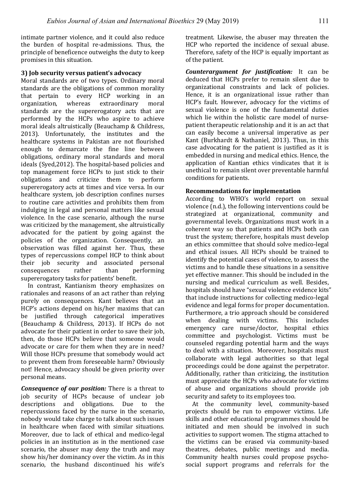intimate partner violence, and it could also reduce the burden of hospital re-admissions. Thus, the principle of beneficence outweighs the duty to keep promises in this situation.

#### **3) Job security versus patient's advocacy**

Moral standards are of two types. Ordinary moral standards are the obligations of common morality that pertain to every HCP working in an organization, whereas extraordinary moral standards are the supererogatory acts that are performed by the HCPs who aspire to achieve moral ideals altruistically (Beauchamp & Childress, 2013). Unfortunately, the institutes and the healthcare systems in Pakistan are not flourished enough to demarcate the fine line between obligations, ordinary moral standards and moral ideals (Syed,2012). The hospital-based policies and top management force HCPs to just stick to their obligations and criticize them to perform supererogatory acts at times and vice versa. In our healthcare system, job description confines nurses to routine care activities and prohibits them from indulging in legal and personal matters like sexual violence. In the case scenario, although the nurse was criticized by the management, she altruistically advocated for the patient by going against the policies of the organization. Consequently, an observation was filled against her. Thus, these types of repercussions compel HCP to think about their job security and associated personal consequences rather than performing supererogatory tasks for patients' benefit.

In contrast, Kantianism theory emphasizes on rationales and reasons of an act rather than relying purely on consequences. Kant believes that an HCP's actions depend on his/her maxims that can be justified through categorical imperatives (Beauchamp & Childress, 2013). If HCPs do not advocate for their patient in order to save their job, then, do those HCPs believe that someone would advocate or care for them when they are in need? Will those HCPs presume that somebody would act to prevent them from foreseeable harm? Obviously not! Hence, advocacy should be given priority over personal means.

*Consequence of our position:* There is a threat to job security of HCPs because of unclear job descriptions and obligations. Due to the repercussions faced by the nurse in the scenario. nobody would take charge to talk about such issues in healthcare when faced with similar situations. Moreover, due to lack of ethical and medico-legal policies in an institution as in the mentioned case scenario, the abuser may deny the truth and may show his/her dominancy over the victim. As in this scenario, the husband discontinued his wife's treatment. Likewise, the abuser may threaten the HCP who reported the incidence of sexual abuse. Therefore, safety of the HCP is equally important as of the patient.

*Counterargument for justification:* It can be deduced that HCPs prefer to remain silent due to organizational constraints and lack of policies. Hence, it is an organizational issue rather than HCP's fault. However, advocacy for the victims of sexual violence is one of the fundamental duties which lie within the holistic care model of nursepatient therapeutic relationship and it is an act that can easily become a universal imperative as per Kant (Burkhardt & Nathaniel, 2013). Thus, in this case advocating for the patient is justified as it is embedded in nursing and medical ethics. Hence, the application of Kantian ethics vindicates that it is unethical to remain silent over preventable harmful conditions for patients.

#### **Recommendations for implementation**

According to WHO's world report on sexual violence (n.d.), the following interventions could be strategized at organizational, community and governmental levels. Organizations must work in a coherent way so that patients and HCPs both can trust the system; therefore, hospitals must develop an ethics committee that should solve medico-legal and ethical issues. All HCPs should be trained to identify the potential cases of violence, to assess the victims and to handle these situations in a sensitive vet effective manner. This should be included in the nursing and medical curriculum as well. Besides, hospitals should have "sexual violence evidence kits" that include instructions for collecting medico-legal evidence and legal forms for proper documentation. Furthermore, a trio approach should be considered when dealing with victims. This includes emergency care nurse/doctor, hospital ethics committee and psychologist. Victims must be counseled regarding potential harm and the ways to deal with a situation. Moreover, hospitals must collaborate with legal authorities so that legal proceedings could be done against the perpetrator. Additionally, rather than criticizing, the institution must appreciate the HCPs who advocate for victims of abuse and organizations should provide job security and safety to its employees too.

At the community level, community-based projects should be run to empower victims. Life skills and other educational programmes should be initiated and men should be involved in such activities to support women. The stigma attached to the victims can be erased via community-based theatres, debates, public meetings and media. Community health nurses could propose psychosocial support programs and referrals for the